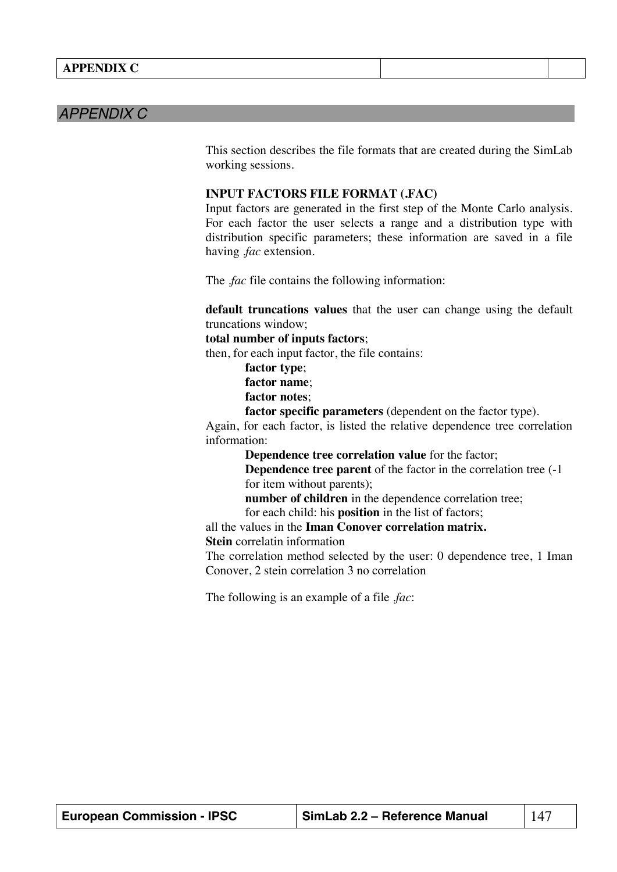## *APPENDIX C*

This section describes the file formats that are created during the SimLab working sessions.

## **INPUT FACTORS FILE FORMAT (.FAC)**

Input factors are generated in the first step of the Monte Carlo analysis. For each factor the user selects a range and a distribution type with distribution specific parameters; these information are saved in a file having *.fac* extension.

The .*fac* file contains the following information:

**default truncations values** that the user can change using the default truncations window;

## **total number of inputs factors**;

then, for each input factor, the file contains:

**factor type**; **factor name**;

**factor notes**;

**factor specific parameters** (dependent on the factor type).

Again, for each factor, is listed the relative dependence tree correlation information:

**Dependence tree correlation value** for the factor;

**Dependence tree parent** of the factor in the correlation tree (-1 for item without parents);

**number of children** in the dependence correlation tree;

for each child: his **position** in the list of factors;

all the values in the **Iman Conover correlation matrix.**

**Stein** correlatin information

The correlation method selected by the user: 0 dependence tree, 1 Iman Conover, 2 stein correlation 3 no correlation

The following is an example of a file .*fac*:

| <b>European Commission - IPSC</b> | SimLab 2.2 – Reference Manual | 147 |
|-----------------------------------|-------------------------------|-----|
|-----------------------------------|-------------------------------|-----|